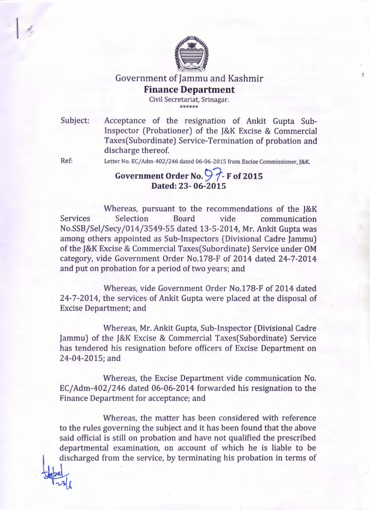

Government of Jammu and Kashmir

## **Finance Department**

Civil Secretariat, Srinagar. \*\*\*\*\*\*

Subject: Acceptance of the resignation of Ankit Gupta Sub-Inspector (Probationer) of the J&K Excise & Commercial Taxes(Subordinate) Service-Termination of probation and discharge thereof.

Ref:

Letter No. *EC/Adm-402/246* dated 06-06-2015 from Excise Commissioner, J&K.

## Government Order No.  $\bigcirc$   $\uparrow$ -F of 2015 **Dated:** 23- **06-2015**

Whereas, pursuant to the recommendations of the J&K Services Selection Board vide communication No.SSB/Sel/Secy/014/3549-55 dated 13-5-2014, Mr. Ankit Gupta was among others appointed as Sub-Inspectors (Divisional Cadre Jammu) of the J&K Excise & Commercial Taxes(Subordinate) Service under OM category, vide Government Order No.178-F of 2014 dated 24-7-2014 and put on probation for a period of two years; and

Whereas, vide Government Order No.178-F of 2014 dated 24-7-2014, the services of Ankit Gupta were placed at the disposal of Excise Department; and

Whereas, Mr. Ankit Gupta, Sub-Inspector (Divisional Cadre Jammu) of the J&K Excise & Commercial Taxes(Subordinate) Service has tendered his resignation before officers of Excise Department on 24-04-201S; and

Whereas, the Excise Department vide communication No. EC/Adm-402/246 dated 06-06-2014 forwarded his resignation to the Finance Department for acceptance; and

Whereas, the matter has been considered with reference to the rules governing the subject and it has been found that the above said official is still on probation and have not qualified the prescribed departmental examination, on account of which he is liable to be discharged from the service, by terminating his probation in terms of